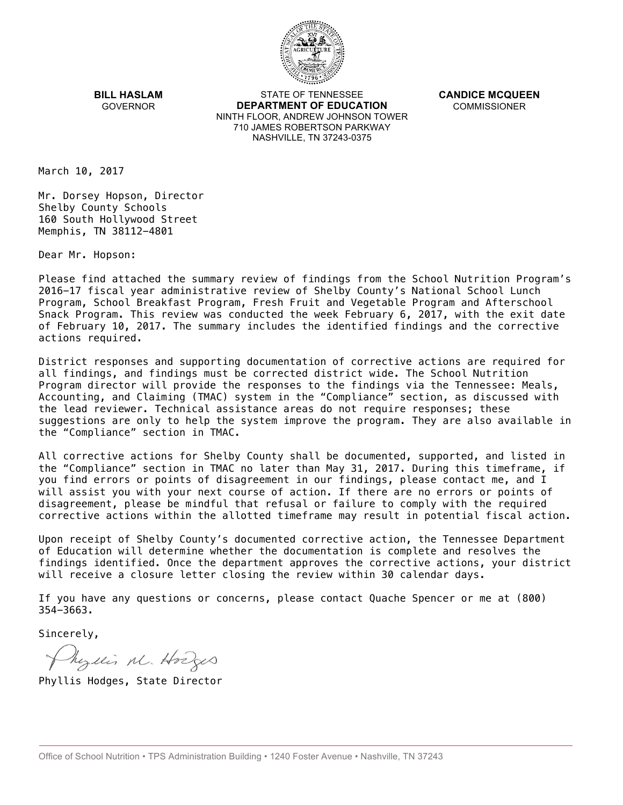

**BILL HASLAM** GOVERNOR

STATE OF TENNESSEE **DEPARTMENT OF EDUCATION** NINTH FLOOR, ANDREW JOHNSON TOWER 710 JAMES ROBERTSON PARKWAY NASHVILLE, TN 37243-0375

**CANDICE MCQUEEN** COMMISSIONER

March 10, 2017

Mr. Dorsey Hopson, Director Shelby County Schools 160 South Hollywood Street Memphis, TN 38112-4801

Dear Mr. Hopson:

Please find attached the summary review of findings from the School Nutrition Program's 2016-17 fiscal year administrative review of Shelby County's National School Lunch Program, School Breakfast Program, Fresh Fruit and Vegetable Program and Afterschool Snack Program. This review was conducted the week February 6, 2017, with the exit date of February 10, 2017. The summary includes the identified findings and the corrective actions required.

District responses and supporting documentation of corrective actions are required for all findings, and findings must be corrected district wide. The School Nutrition Program director will provide the responses to the findings via the Tennessee: Meals, Accounting, and Claiming (TMAC) system in the "Compliance" section, as discussed with the lead reviewer. Technical assistance areas do not require responses; these suggestions are only to help the system improve the program. They are also available in the "Compliance" section in TMAC.

All corrective actions for Shelby County shall be documented, supported, and listed in the "Compliance" section in TMAC no later than May 31, 2017. During this timeframe, if you find errors or points of disagreement in our findings, please contact me, and I will assist you with your next course of action. If there are no errors or points of disagreement, please be mindful that refusal or failure to comply with the required corrective actions within the allotted timeframe may result in potential fiscal action.

Upon receipt of Shelby County's documented corrective action, the Tennessee Department of Education will determine whether the documentation is complete and resolves the findings identified. Once the department approves the corrective actions, your district will receive a closure letter closing the review within 30 calendar days.

If you have any questions or concerns, please contact Quache Spencer or me at (800) 354-3663.

Sincerely,

Myllis M. Hodges

Phyllis Hodges, State Director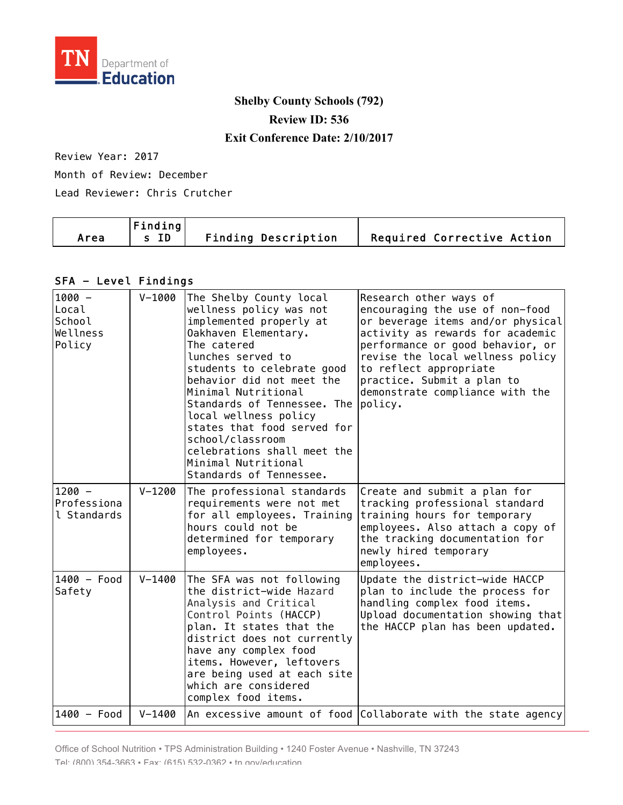

# **Shelby County Schools (792) Review ID: 536 Exit Conference Date: 2/10/2017**

#### Review Year: 2017

Month of Review: December

Lead Reviewer: Chris Crutcher

|      | $ $ Finding $ $ |                            |                            |
|------|-----------------|----------------------------|----------------------------|
| Area | s ID            | <b>Finding Description</b> | Required Corrective Action |

#### SFA - Level Findings

| $1000 -$<br>Local<br>School<br>Wellness<br>Policy | $V - 1000$ | The Shelby County local<br>wellness policy was not<br>implemented properly at<br>Oakhaven Elementary.<br>The catered<br>lunches served to<br>students to celebrate good<br>behavior did not meet the<br>Minimal Nutritional<br>Standards of Tennessee. The<br>local wellness policy                     | Research other ways of<br>encouraging the use of non-food<br>or beverage items and/or physical<br>activity as rewards for academic<br>performance or good behavior, or<br>revise the local wellness policy<br>to reflect appropriate<br>practice. Submit a plan to<br>demonstrate compliance with the<br>policy. |
|---------------------------------------------------|------------|---------------------------------------------------------------------------------------------------------------------------------------------------------------------------------------------------------------------------------------------------------------------------------------------------------|------------------------------------------------------------------------------------------------------------------------------------------------------------------------------------------------------------------------------------------------------------------------------------------------------------------|
|                                                   |            | states that food served for<br>school/classroom<br>celebrations shall meet the<br>Minimal Nutritional<br>Standards of Tennessee.                                                                                                                                                                        |                                                                                                                                                                                                                                                                                                                  |
| $1200 -$<br>Professiona<br>l Standards            | $V - 1200$ | The professional standards<br>requirements were not met<br>for all employees. Training<br>hours could not be<br>determined for temporary<br>employees.                                                                                                                                                  | Create and submit a plan for<br>tracking professional standard<br>training hours for temporary<br>employees. Also attach a copy of<br>the tracking documentation for<br>newly hired temporary<br>employees.                                                                                                      |
| $1400 - Food$<br>Safety                           | $V - 1400$ | The SFA was not following<br>the district-wide Hazard<br>Analysis and Critical<br>Control Points (HACCP)<br>plan. It states that the<br>district does not currently<br>have any complex food<br>items. However, leftovers<br>are being used at each site<br>which are considered<br>complex food items. | Update the district-wide HACCP<br>plan to include the process for<br>handling complex food items.<br>Upload documentation showing that<br>the HACCP plan has been updated.                                                                                                                                       |
| 1400 - Food                                       | $V - 1400$ |                                                                                                                                                                                                                                                                                                         | An excessive amount of food Collaborate with the state agency                                                                                                                                                                                                                                                    |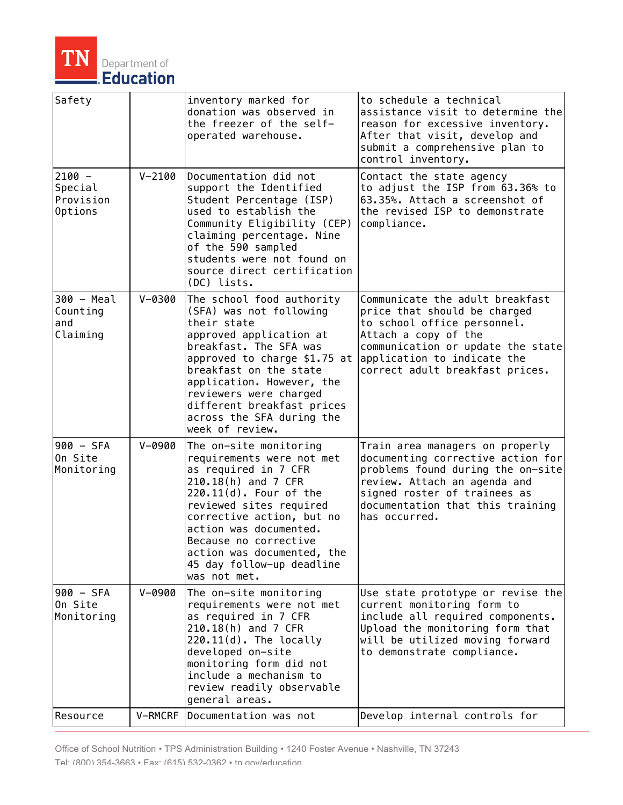

| Safety                                              |            | inventory marked for<br>donation was observed in<br>the freezer of the self-<br>operated warehouse.                                                                                                                                                                                                                     | to schedule a technical<br>assistance visit to determine the<br>reason for excessive inventory.<br>After that visit, develop and<br>submit a comprehensive plan to<br>control inventory.                                       |
|-----------------------------------------------------|------------|-------------------------------------------------------------------------------------------------------------------------------------------------------------------------------------------------------------------------------------------------------------------------------------------------------------------------|--------------------------------------------------------------------------------------------------------------------------------------------------------------------------------------------------------------------------------|
| $2100 -$<br> Special<br>Provision<br><b>Options</b> | $V - 2100$ | Documentation did not<br>support the Identified<br>Student Percentage (ISP)<br>used to establish the<br>Community Eligibility (CEP)<br>claiming percentage. Nine<br>of the 590 sampled<br>students were not found on<br>source direct certification<br>(DC) lists.                                                      | Contact the state agency<br>to adjust the ISP from 63.36% to<br>63.35%. Attach a screenshot of<br>the revised ISP to demonstrate<br>compliance.                                                                                |
| 300 - Meal<br>Counting<br>and<br>Claiming           | $V - 0300$ | The school food authority<br>(SFA) was not following<br>their state<br>approved application at<br>breakfast. The SFA was<br>approved to charge \$1.75 at<br>breakfast on the state<br>application. However, the<br>reviewers were charged<br>different breakfast prices<br>across the SFA during the<br>week of review. | Communicate the adult breakfast<br>price that should be charged<br>to school office personnel.<br>Attach a copy of the<br>communication or update the state<br>application to indicate the<br>correct adult breakfast prices.  |
| 900 - SFA<br>On Site<br>Monitoring                  | $V - 0900$ | The on-site monitoring<br>requirements were not met<br>as required in 7 CFR<br>210.18(h) and 7 CFR<br>$220.11(d)$ . Four of the<br>reviewed sites required<br>corrective action, but no<br>action was documented.<br>Because no corrective<br>action was documented, the<br>45 day follow-up deadline<br>was not met.   | Train area managers on properly<br>documenting corrective action for<br>problems found during the on-site<br>review. Attach an agenda and<br>signed roster of trainees as<br>documentation that this training<br>has occurred. |
| 900 - SFA<br>On Site<br>Monitoring                  | $V - 0900$ | The on-site monitoring<br>requirements were not met<br>as required in 7 CFR<br>210.18(h) and 7 CFR<br>$220.11(d)$ . The locally<br>developed on-site<br>monitoring form did not<br>include a mechanism to<br>review readily observable<br>general areas.                                                                | Use state prototype or revise the<br>current monitoring form to<br>include all required components.<br>Upload the monitoring form that<br>will be utilized moving forward<br>to demonstrate compliance.                        |
| Resource                                            | V-RMCRF    | Documentation was not                                                                                                                                                                                                                                                                                                   | Develop internal controls for                                                                                                                                                                                                  |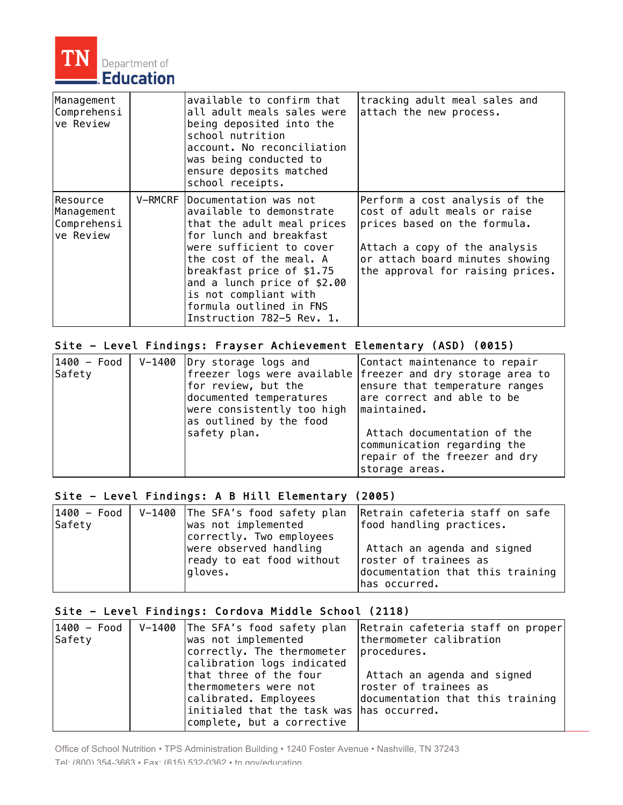

| Management<br>Comprehensi<br>ve Review             | available to confirm that<br>all adult meals sales were<br>being deposited into the<br>school nutrition<br>account. No reconciliation<br>was being conducted to<br>ensure deposits matched<br>school receipts.                                                                                                           | tracking adult meal sales and<br>attach the new process.                                                                                                                                               |
|----------------------------------------------------|--------------------------------------------------------------------------------------------------------------------------------------------------------------------------------------------------------------------------------------------------------------------------------------------------------------------------|--------------------------------------------------------------------------------------------------------------------------------------------------------------------------------------------------------|
| Resource<br>Management<br>Comprehensi<br>ve Review | V-RMCRF   Documentation was not<br>available to demonstrate<br>that the adult meal prices<br>for lunch and breakfast<br>were sufficient to cover<br>the cost of the meal. A<br>breakfast price of \$1.75<br>and a lunch price of \$2.00<br>is not compliant with<br>formula outlined in FNS<br>Instruction 782–5 Rev. 1. | Perform a cost analysis of the<br>cost of adult meals or raise<br>prices based on the formula.<br>Attach a copy of the analysis<br>or attach board minutes showing<br>the approval for raising prices. |

## Site - Level Findings: Frayser Achievement Elementary (ASD) (0015)

| $1400 - Food$<br>Safety | V-1400 Dry storage logs and<br>for review, but the<br>documented temperatures<br>were consistently too high<br>as outlined by the food | Contact maintenance to repair<br>freezer logs were available freezer and dry storage area to<br>ensure that temperature ranges<br>are correct and able to be<br>maintained. |
|-------------------------|----------------------------------------------------------------------------------------------------------------------------------------|-----------------------------------------------------------------------------------------------------------------------------------------------------------------------------|
|                         | safety plan.                                                                                                                           | Attach documentation of the<br>communication regarding the<br>repair of the freezer and dry<br>storage areas.                                                               |

## Site - Level Findings: A B Hill Elementary (2005)

| $1400 - Food$ | V-1400 The SFA's food safety plan                                                          | Retrain cafeteria staff on safe                                                                            |
|---------------|--------------------------------------------------------------------------------------------|------------------------------------------------------------------------------------------------------------|
| Safety        | was not implemented                                                                        | food handling practices.                                                                                   |
|               | correctly. Two employees<br>were observed handling<br>ready to eat food without<br>gloves. | Attach an agenda and signed<br>roster of trainees as<br>documentation that this training<br> has occurred. |

## Site - Level Findings: Cordova Middle School (2118)

| 1400 - Food  <br>Safety | V-1400 The SFA's food safety plan<br>was not implemented<br>correctly. The thermometer                                                                                            | Retrain cafeteria staff on proper<br>thermometer calibration<br>procedures.              |
|-------------------------|-----------------------------------------------------------------------------------------------------------------------------------------------------------------------------------|------------------------------------------------------------------------------------------|
|                         | calibration logs indicated<br>that three of the four<br>thermometers were not<br>calibrated. Employees<br>initialed that the task was has occurred.<br>complete, but a corrective | Attach an agenda and signed<br>roster of trainees as<br>documentation that this training |

Office of School Nutrition • TPS Administration Building • 1240 Foster Avenue • Nashville, TN 37243 Tel: (800) 354-3663 • Fax: (615) 532-0362 • tn.gov/education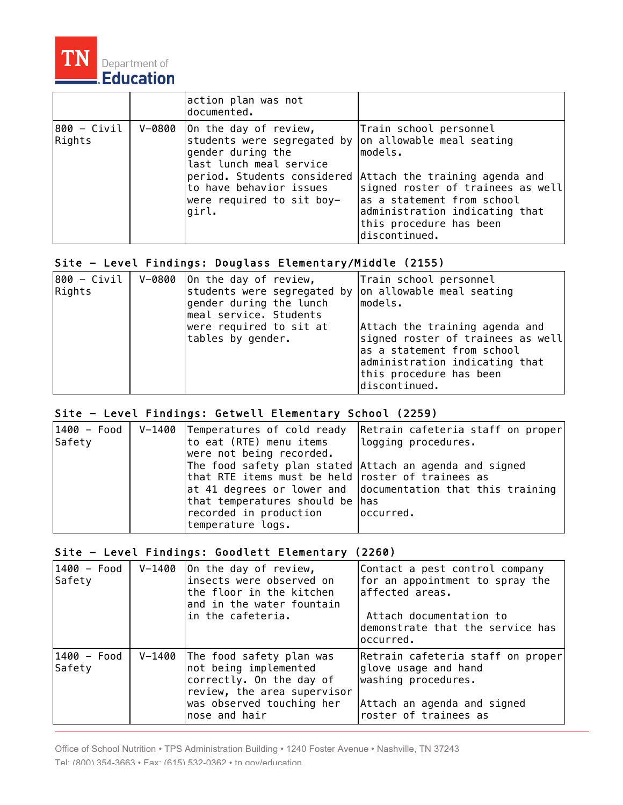

|                       | action plan was not<br>documented.                                                                                                                                             |                                                                                                                                                                                                                                                                                |
|-----------------------|--------------------------------------------------------------------------------------------------------------------------------------------------------------------------------|--------------------------------------------------------------------------------------------------------------------------------------------------------------------------------------------------------------------------------------------------------------------------------|
| 800 - Civil<br>Rights | V-0800   On the day of review,<br>students were segregated by<br>gender during the<br>last lunch meal service<br>to have behavior issues<br>were required to sit boy-<br>qirl. | Train school personnel<br>on allowable meal seating<br>lmodels.<br>period. Students considered Attach the training agenda and<br>signed roster of trainees as well<br>as a statement from school<br>administration indicating that<br>this procedure has been<br>discontinued. |

## Site - Level Findings: Douglass Elementary/Middle (2155)

| $ 800 - Cityi $<br>Rights | $V-0800$ On the day of review,<br>students were segregated by<br>gender during the lunch<br>meal service. Students | Train school personnel<br>on allowable meal seating<br>models.                                                                                                                  |
|---------------------------|--------------------------------------------------------------------------------------------------------------------|---------------------------------------------------------------------------------------------------------------------------------------------------------------------------------|
|                           | were required to sit at<br>tables by gender.                                                                       | Attach the training agenda and<br>signed roster of trainees as well<br>as a statement from school<br>administration indicating that<br>this procedure has been<br>discontinued. |

#### Site - Level Findings: Getwell Elementary School (2259)

| $1400 - Food$<br>Safety | V-1400 Temperatures of cold ready<br>to eat (RTE) menu items<br>were not being recorded.                                                                                                       | Retrain cafeteria staff on proper<br>logging procedures.                          |
|-------------------------|------------------------------------------------------------------------------------------------------------------------------------------------------------------------------------------------|-----------------------------------------------------------------------------------|
|                         | The food safety plan stated Attach an agenda and signed<br>that RTE items must be held roster of trainees as<br>that temperatures should be has<br>recorded in production<br>temperature logs. | $ $ at 41 degrees or lower and $ $ documentation that this training<br>loccurred. |

## Site - Level Findings: Goodlett Elementary (2260)

| 1400 - Food<br>Safety | $V - 1400$ | On the day of review,<br>insects were observed on<br>the floor in the kitchen<br>and in the water fountain<br>in the cafeteria.                                   | Contact a pest control company<br>for an appointment to spray the<br>affected areas.<br>Attach documentation to<br>demonstrate that the service has<br>loccurred. |
|-----------------------|------------|-------------------------------------------------------------------------------------------------------------------------------------------------------------------|-------------------------------------------------------------------------------------------------------------------------------------------------------------------|
| 1400 - Food<br>Safety |            | V-1400 The food safety plan was<br>not being implemented<br>correctly. On the day of<br>review, the area supervisor<br>was observed touching her<br>nose and hair | Retrain cafeteria staff on proper<br>glove usage and hand<br>washing procedures.<br>Attach an agenda and signed<br>roster of trainees as                          |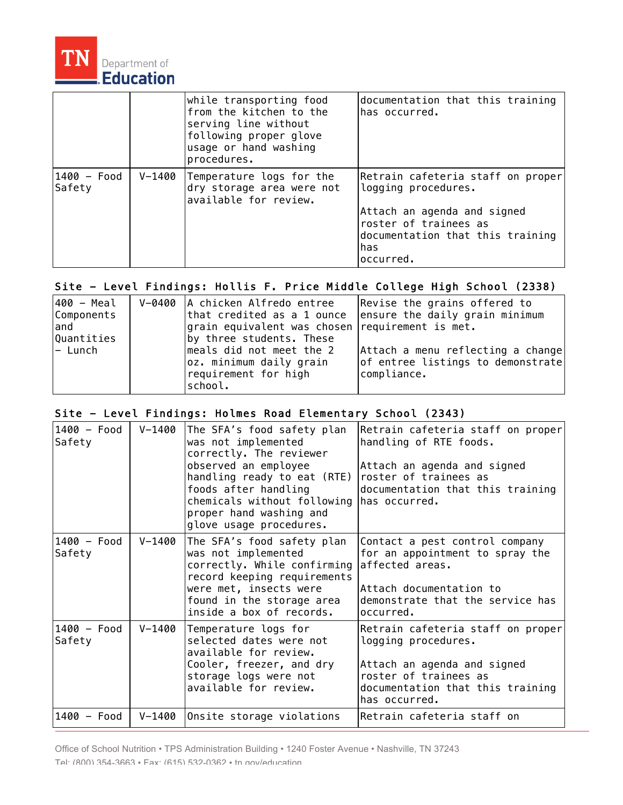

|                       |        | while transporting food<br>from the kitchen to the<br>serving line without<br>following proper glove<br>usage or hand washing<br>procedures. | documentation that this training<br>has occurred.                                                                                                                         |
|-----------------------|--------|----------------------------------------------------------------------------------------------------------------------------------------------|---------------------------------------------------------------------------------------------------------------------------------------------------------------------------|
| 1400 - Food<br>Safety | V-1400 | Temperature logs for the<br>dry storage area were not<br>available for review.                                                               | Retrain cafeteria staff on proper<br>logging procedures.<br>Attach an agenda and signed<br>roster of trainees as<br>documentation that this training<br>has<br>loccurred. |

# Site - Level Findings: Hollis F. Price Middle College High School (2338)

| 400 - Meal<br>Components<br>land<br>Quantities | V-0400  A chicken Alfredo entree<br>that credited as a 1 ounce<br>grain equivalent was chosen requirement is met.<br>by three students. These | Revise the grains offered to<br>ensure the daily grain minimum                        |
|------------------------------------------------|-----------------------------------------------------------------------------------------------------------------------------------------------|---------------------------------------------------------------------------------------|
| - Lunch                                        | meals did not meet the 2<br>oz. minimum daily grain<br>requirement for high<br>school.                                                        | Attach a menu reflecting a change<br>of entree listings to demonstrate<br>compliance. |

#### Site - Level Findings: Holmes Road Elementary School (2343)

| 1400 - Food<br>Safety | $V - 1400$ | The SFA's food safety plan<br>was not implemented<br>correctly. The reviewer<br>observed an employee<br>handling ready to eat (RTE)<br>foods after handling<br>chemicals without following has occurred.<br>proper hand washing and<br>glove usage procedures. | Retrain cafeteria staff on proper<br>handling of RTE foods.<br>Attach an agenda and signed<br>roster of trainees as<br>documentation that this training               |
|-----------------------|------------|----------------------------------------------------------------------------------------------------------------------------------------------------------------------------------------------------------------------------------------------------------------|-----------------------------------------------------------------------------------------------------------------------------------------------------------------------|
| 1400 - Food<br>Safety | V-1400     | The SFA's food safety plan<br>was not implemented<br>correctly. While confirming<br>record keeping requirements<br>were met, insects were<br>found in the storage area<br>inside a box of records.                                                             | Contact a pest control company<br>for an appointment to spray the<br>affected areas.<br>Attach documentation to<br>demonstrate that the service has<br>occurred.      |
| 1400 - Food<br>Safety | V-1400     | Temperature logs for<br>selected dates were not<br>available for review.<br>Cooler, freezer, and dry<br>storage logs were not<br>available for review.                                                                                                         | Retrain cafeteria staff on proper<br>logging procedures.<br>Attach an agenda and signed<br>roster of trainees as<br>documentation that this training<br>has occurred. |
| 1400 - Food           | V-1400     | Onsite storage violations                                                                                                                                                                                                                                      | Retrain cafeteria staff on                                                                                                                                            |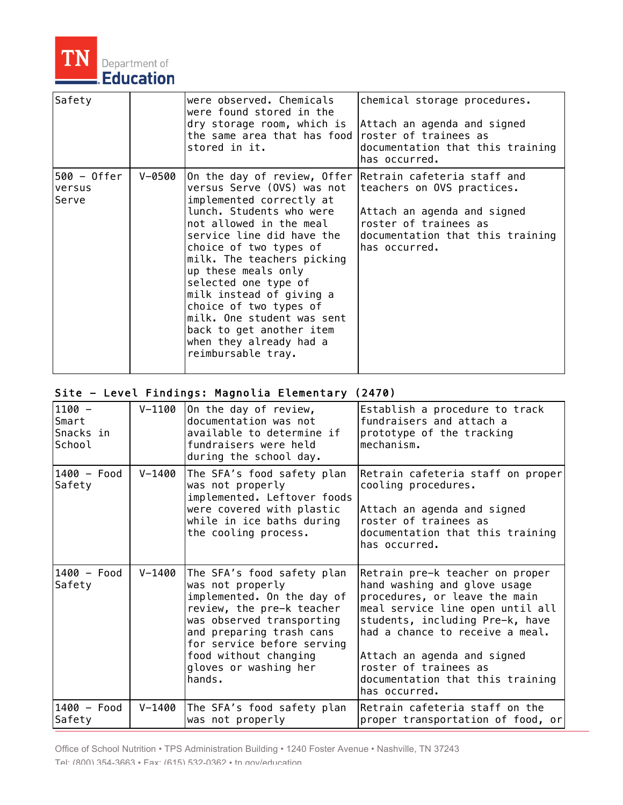

| Safety                         |        | were observed. Chemicals<br>were found stored in the<br>dry storage room, which is<br>the same area that has food<br>stored in it.                                                                                                                                                                                                                                                                                                                                            | chemical storage procedures.<br>Attach an agenda and signed<br>roster of trainees as<br>documentation that this training<br>has occurred. |
|--------------------------------|--------|-------------------------------------------------------------------------------------------------------------------------------------------------------------------------------------------------------------------------------------------------------------------------------------------------------------------------------------------------------------------------------------------------------------------------------------------------------------------------------|-------------------------------------------------------------------------------------------------------------------------------------------|
| 500 - Offer<br>versus<br>Serve | V-0500 | On the day of review, Offer Retrain cafeteria staff and<br>versus Serve (OVS) was not<br>implemented correctly at<br>lunch. Students who were<br>not allowed in the meal<br>service line did have the<br>choice of two types of<br>milk. The teachers picking<br>up these meals only<br>selected one type of<br>milk instead of giving a<br>choice of two types of<br>milk. One student was sent<br>back to get another item<br>when they already had a<br>reimbursable tray. | teachers on OVS practices.<br>Attach an agenda and signed<br>roster of trainees as<br>documentation that this training<br>has occurred.   |

## Site - Level Findings: Magnolia Elementary (2470)

| $1100 -$<br>Smart<br>Snacks in<br>School | V-1100     | On the day of review,<br>documentation was not<br>available to determine if<br>fundraisers were held<br>during the school day.                                                                                                                               | Establish a procedure to track<br>fundraisers and attach a<br>prototype of the tracking<br>mechanism.                                                                                                                                                                                                                   |
|------------------------------------------|------------|--------------------------------------------------------------------------------------------------------------------------------------------------------------------------------------------------------------------------------------------------------------|-------------------------------------------------------------------------------------------------------------------------------------------------------------------------------------------------------------------------------------------------------------------------------------------------------------------------|
| 1400 - Food<br>Safety                    | $V - 1400$ | The SFA's food safety plan<br>was not properly<br>implemented. Leftover foods<br>were covered with plastic<br>while in ice baths during<br>the cooling process.                                                                                              | Retrain cafeteria staff on proper<br>cooling procedures.<br>Attach an agenda and signed<br>roster of trainees as<br>documentation that this training<br>has occurred.                                                                                                                                                   |
| 1400 - Food<br>Safety                    | $V - 1400$ | The SFA's food safety plan<br>was not properly<br>implemented. On the day of<br>review, the pre-k teacher<br>was observed transporting<br>and preparing trash cans<br>for service before serving<br>food without changing<br>gloves or washing her<br>hands. | Retrain pre-k teacher on proper<br>hand washing and glove usage<br>procedures, or leave the main<br>meal service line open until all<br>students, including Pre-k, have<br>had a chance to receive a meal.<br>Attach an agenda and signed<br>roster of trainees as<br>documentation that this training<br>has occurred. |
| $1400 - Food$<br>Safety                  | V-1400     | The SFA's food safety plan<br>was not properly                                                                                                                                                                                                               | Retrain cafeteria staff on the<br>proper transportation of food, or                                                                                                                                                                                                                                                     |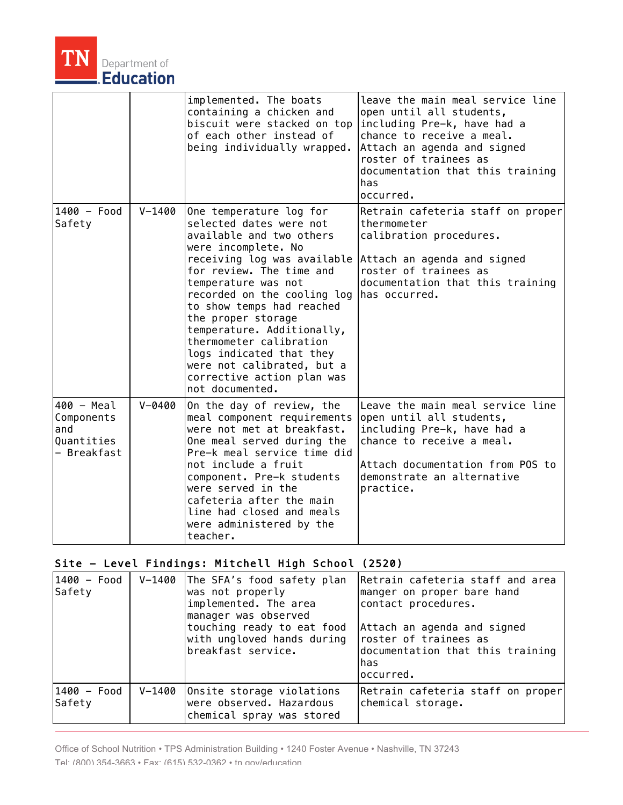

|                                                              |            | implemented. The boats<br>containing a chicken and<br>biscuit were stacked on top<br>of each other instead of<br>being individually wrapped.                                                                                                                                                                                                                                                                                                  | leave the main meal service line<br>open until all students,<br>including Pre-k, have had a<br>chance to receive a meal.<br>Attach an agenda and signed<br>roster of trainees as<br>documentation that this training<br>has<br>occurred. |
|--------------------------------------------------------------|------------|-----------------------------------------------------------------------------------------------------------------------------------------------------------------------------------------------------------------------------------------------------------------------------------------------------------------------------------------------------------------------------------------------------------------------------------------------|------------------------------------------------------------------------------------------------------------------------------------------------------------------------------------------------------------------------------------------|
| 1400 - Food<br>Safety                                        | $V - 1400$ | One temperature log for<br>selected dates were not<br>available and two others<br>were incomplete. No<br>receiving log was available<br>for review. The time and<br>temperature was not<br>recorded on the cooling log<br>to show temps had reached<br>the proper storage<br>temperature. Additionally,<br>thermometer calibration<br>logs indicated that they<br>were not calibrated, but a<br>corrective action plan was<br>not documented. | Retrain cafeteria staff on proper<br>thermometer<br>calibration procedures.<br>Attach an agenda and signed<br>roster of trainees as<br>documentation that this training<br>has occurred.                                                 |
| 400 - Meal<br>Components<br>and<br>Quantities<br>- Breakfast | $V - 0400$ | On the day of review, the<br>meal component requirements<br>were not met at breakfast.<br>One meal served during the<br>Pre-k meal service time did<br>not include a fruit<br>component. Pre-k students<br>were served in the<br>cafeteria after the main<br>line had closed and meals<br>were administered by the<br>teacher.                                                                                                                | Leave the main meal service line<br>open until all students,<br>including Pre-k, have had a<br>chance to receive a meal.<br>Attach documentation from POS to<br>demonstrate an alternative<br>practice.                                  |

# Site - Level Findings: Mitchell High School (2520)

| 1400 - Food<br>Safety | V-1400 The SFA's food safety plan<br>was not properly<br>implemented. The area<br>manager was observed<br>touching ready to eat food<br>with ungloved hands during<br>breakfast service. | Retrain cafeteria staff and area<br>manger on proper bare hand<br>contact procedures.<br>Attach an agenda and signed<br>roster of trainees as<br>documentation that this training<br>has<br>loccurred. |
|-----------------------|------------------------------------------------------------------------------------------------------------------------------------------------------------------------------------------|--------------------------------------------------------------------------------------------------------------------------------------------------------------------------------------------------------|
| 1400 - Food<br>Safety | V-1400 Onsite storage violations<br>were observed. Hazardous<br>chemical spray was stored                                                                                                | Retrain cafeteria staff on proper<br>chemical storage.                                                                                                                                                 |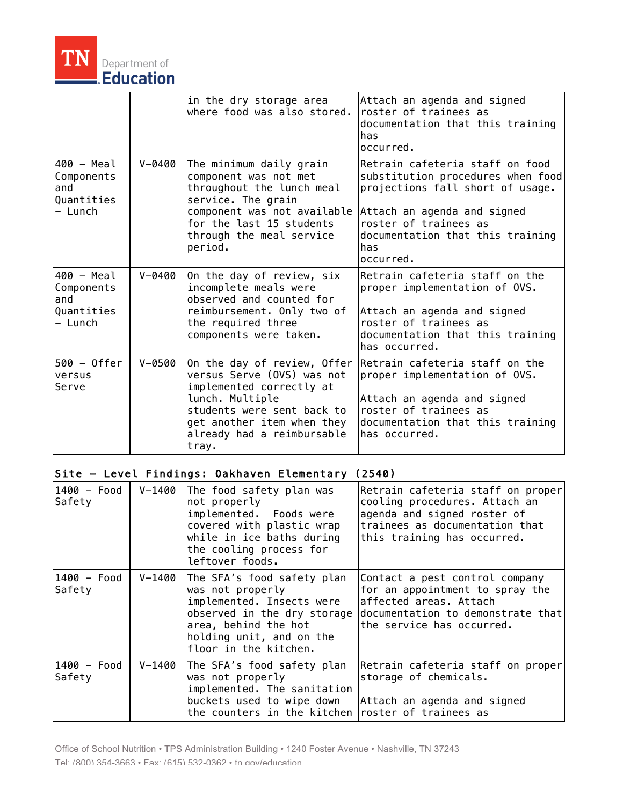

|                                                          |            | in the dry storage area<br>where food was also stored.                                                                                                                                                      | Attach an agenda and signed<br>roster of trainees as<br>documentation that this training<br>has<br>occurred.                                                                                                             |
|----------------------------------------------------------|------------|-------------------------------------------------------------------------------------------------------------------------------------------------------------------------------------------------------------|--------------------------------------------------------------------------------------------------------------------------------------------------------------------------------------------------------------------------|
| 400 - Meal<br>Components<br>and<br>Quantities<br>– Lunch | $V - 0400$ | The minimum daily grain<br>component was not met<br>throughout the lunch meal<br>service. The grain<br>component was not available<br>for the last 15 students<br>through the meal service<br>period.       | Retrain cafeteria staff on food<br>substitution procedures when food<br>projections fall short of usage.<br>Attach an agenda and signed<br>roster of trainees as<br>documentation that this training<br>has<br>occurred. |
| 400 - Meal<br>Components<br>and<br>Quantities<br>– Lunch | $V - 0400$ | On the day of review, six<br>incomplete meals were<br>observed and counted for<br>reimbursement. Only two of<br>the required three<br>components were taken.                                                | Retrain cafeteria staff on the<br>proper implementation of OVS.<br>Attach an agenda and signed<br>roster of trainees as<br>documentation that this training<br>has occurred.                                             |
| $500 - 0$ ffer<br>versus<br>Serve                        | $V - 0500$ | On the day of review, Offer<br>versus Serve (OVS) was not<br>implemented correctly at<br>lunch. Multiple<br>students were sent back to<br>get another item when they<br>already had a reimbursable<br>tray. | Retrain cafeteria staff on the<br>proper implementation of OVS.<br>Attach an agenda and signed<br>roster of trainees as<br>documentation that this training<br>has occurred.                                             |

# Site - Level Findings: Oakhaven Elementary (2540)

| 1400 - Food<br>Safety   | $V - 1400$ | The food safety plan was<br>not properly<br>implemented. Foods were<br>covered with plastic wrap<br>while in ice baths during<br>the cooling process for<br>leftover foods.             | Retrain cafeteria staff on proper<br>cooling procedures. Attach an<br>agenda and signed roster of<br>trainees as documentation that<br>this training has occurred. |
|-------------------------|------------|-----------------------------------------------------------------------------------------------------------------------------------------------------------------------------------------|--------------------------------------------------------------------------------------------------------------------------------------------------------------------|
| 1400 - Food<br>Safety   | V-1400     | The SFA's food safety plan<br>was not properly<br>implemented. Insects were<br>observed in the dry storage<br>area, behind the hot<br>holding unit, and on the<br>floor in the kitchen. | Contact a pest control company<br>for an appointment to spray the<br>affected areas. Attach<br>documentation to demonstrate that<br>the service has occurred.      |
| $1400 - Food$<br>Safety | V-1400     | The SFA's food safety plan<br>was not properly<br>implemented. The sanitation<br>buckets used to wipe down<br>the counters in the kitchen                                               | Retrain cafeteria staff on proper<br>storage of chemicals.<br>Attach an agenda and signed<br>roster of trainees as                                                 |